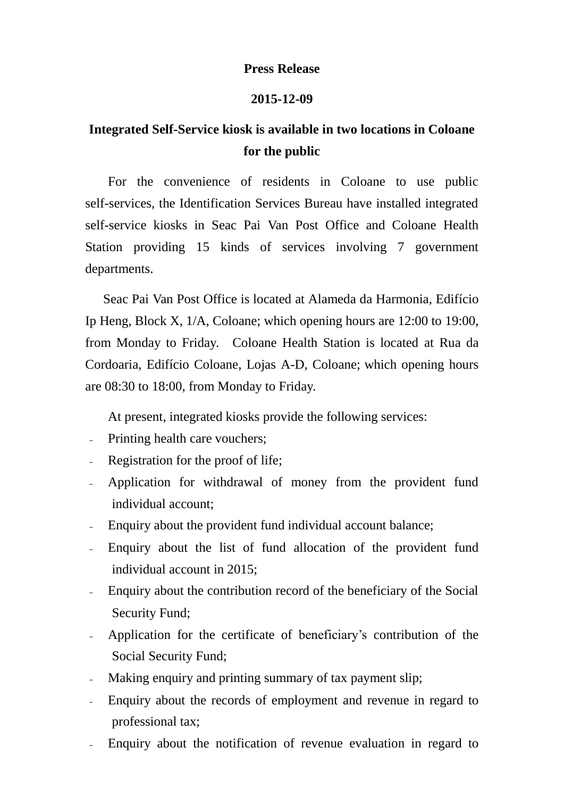## **Press Release**

## **2015-12-09**

## **Integrated Self-Service kiosk is available in two locations in Coloane for the public**

For the convenience of residents in Coloane to use public self-services, the Identification Services Bureau have installed integrated self-service kiosks in Seac Pai Van Post Office and Coloane Health Station providing 15 kinds of services involving 7 government departments.

Seac Pai Van Post Office is located at Alameda da Harmonia, Edifício Ip Heng, Block X, 1/A, Coloane; which opening hours are 12:00 to 19:00, from Monday to Friday. Coloane Health Station is located at Rua da Cordoaria, Edifício Coloane, Lojas A-D, Coloane; which opening hours are 08:30 to 18:00, from Monday to Friday.

At present, integrated kiosks provide the following services:

- Printing health care vouchers;
- Registration for the proof of life;
- Application for withdrawal of money from the provident fund individual account;
- Enquiry about the provident fund individual account balance;
- Enquiry about the list of fund allocation of the provident fund individual account in 2015;
- Enquiry about the contribution record of the beneficiary of the Social Security Fund;
- Application for the certificate of beneficiary's contribution of the Social Security Fund;
- Making enquiry and printing summary of tax payment slip;
- Enquiry about the records of employment and revenue in regard to professional tax;
- Enquiry about the notification of revenue evaluation in regard to